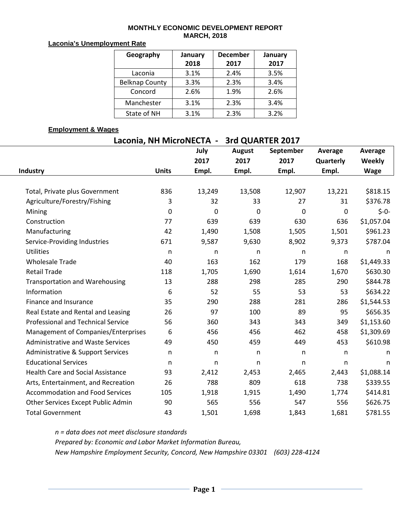## **MONTHLY ECONOMIC DEVELOPMENT REPORT MARCH, 2018**

#### **Laconia's Unemployment Rate**

| Geography             | January | <b>December</b> | January |
|-----------------------|---------|-----------------|---------|
|                       | 2018    | 2017            | 2017    |
| Laconia               | 3.1%    | 2.4%            | 3.5%    |
| <b>Belknap County</b> | 3.3%    | 2.3%            | 3.4%    |
| Concord               | 2.6%    | 1.9%            | 2.6%    |
| Manchester            | 3.1%    | 2.3%            | 3.4%    |
| State of NH           | 3.1%    | 2.3%            | 3.2%    |

### **Employment & Wages**

| Laconia, NH MicroNECTA - 3rd QUARTER 2017 |              |              |               |              |                |                          |  |  |  |  |  |
|-------------------------------------------|--------------|--------------|---------------|--------------|----------------|--------------------------|--|--|--|--|--|
|                                           |              | July         | <b>August</b> | September    | <b>Average</b> | Average<br><b>Weekly</b> |  |  |  |  |  |
|                                           |              | 2017         | 2017          | 2017         | Quarterly      |                          |  |  |  |  |  |
| Industry                                  | <b>Units</b> | Empl.        | Empl.         | Empl.        | Empl.          | Wage                     |  |  |  |  |  |
| Total, Private plus Government            | 836          | 13,249       | 13,508        | 12,907       | 13,221         | \$818.15                 |  |  |  |  |  |
| Agriculture/Forestry/Fishing              | 3            | 32           | 33            | 27           | 31             | \$376.78                 |  |  |  |  |  |
| Mining                                    | 0            | $\mathbf 0$  | $\Omega$      | 0            | 0              | $$-0-$                   |  |  |  |  |  |
| Construction                              | 77           | 639          | 639           | 630          | 636            | \$1,057.04               |  |  |  |  |  |
| Manufacturing                             | 42           | 1,490        | 1,508         | 1,505        | 1,501          | \$961.23                 |  |  |  |  |  |
| Service-Providing Industries              | 671          | 9,587        | 9,630         | 8,902        | 9,373          | \$787.04                 |  |  |  |  |  |
| <b>Utilities</b>                          | $\mathsf{n}$ | $\mathsf{n}$ | n             | $\mathsf{n}$ | n              | n                        |  |  |  |  |  |
| <b>Wholesale Trade</b>                    | 40           | 163          | 162           | 179          | 168            | \$1,449.33               |  |  |  |  |  |
| <b>Retail Trade</b>                       | 118          | 1,705        | 1,690         | 1,614        | 1,670          | \$630.30                 |  |  |  |  |  |
| <b>Transportation and Warehousing</b>     | 13           | 288          | 298           | 285          | 290            | \$844.78                 |  |  |  |  |  |
| Information                               | 6            | 52           | 55            | 53           | 53             | \$634.22                 |  |  |  |  |  |
| Finance and Insurance                     | 35           | 290          | 288           | 281          | 286            | \$1,544.53               |  |  |  |  |  |
| Real Estate and Rental and Leasing        | 26           | 97           | 100           | 89           | 95             | \$656.35                 |  |  |  |  |  |
| <b>Professional and Technical Service</b> | 56           | 360          | 343           | 343          | 349            | \$1,153.60               |  |  |  |  |  |
| Management of Companies/Enterprises       | 6            | 456          | 456           | 462          | 458            | \$1,309.69               |  |  |  |  |  |
| <b>Administrative and Waste Services</b>  | 49           | 450          | 459           | 449          | 453            | \$610.98                 |  |  |  |  |  |
| Administrative & Support Services         | $\mathsf{n}$ | $\sf n$      | n             | $\mathsf{n}$ | n              | n                        |  |  |  |  |  |
| <b>Educational Services</b>               | $\mathsf{n}$ | $\mathsf{n}$ | $\mathsf{n}$  | $\mathsf{n}$ | n              | n                        |  |  |  |  |  |
| <b>Health Care and Social Assistance</b>  | 93           | 2,412        | 2,453         | 2,465        | 2,443          | \$1,088.14               |  |  |  |  |  |
| Arts, Entertainment, and Recreation       | 26           | 788          | 809           | 618          | 738            | \$339.55                 |  |  |  |  |  |
| <b>Accommodation and Food Services</b>    | 105          | 1,918        | 1,915         | 1,490        | 1,774          | \$414.81                 |  |  |  |  |  |
| Other Services Except Public Admin        | 90           | 565          | 556           | 547          | 556            | \$626.75                 |  |  |  |  |  |
| <b>Total Government</b>                   | 43           | 1,501        | 1,698         | 1,843        | 1,681          | \$781.55                 |  |  |  |  |  |

*n = data does not meet disclosure standards Prepared by: Economic and Labor Market Information Bureau, New Hampshire Employment Security, Concord, New Hampshire 03301 (603) 228-4124*